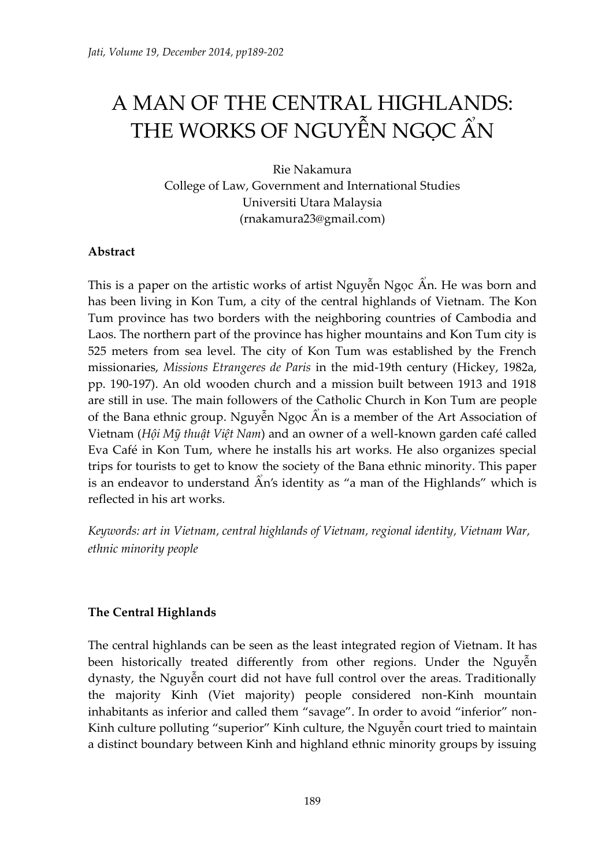# A MAN OF THE CENTRAL HIGHLANDS: THE WORKS OF NGUYỄN NGỌC ẨN

Rie Nakamura College of Law, Government and International Studies Universiti Utara Malaysia (rnakamura23@gmail.com)

## **Abstract**

This is a paper on the artistic works of artist Nguyễn Ngọc Ân. He was born and has been living in Kon Tum, a city of the central highlands of Vietnam. The Kon Tum province has two borders with the neighboring countries of Cambodia and Laos. The northern part of the province has higher mountains and Kon Tum city is 525 meters from sea level. The city of Kon Tum was established by the French missionaries, *Missions Etrangeres de Paris* in the mid-19th century (Hickey, 1982a, pp. 190-197). An old wooden church and a mission built between 1913 and 1918 are still in use. The main followers of the Catholic Church in Kon Tum of the Bana ethnic group. Nguyễn Ngọc Ấn is a member of the Art Association of Vietnam (*Hôi Mỹ thuật Việt Nam*) and an owner of a well-known garden café called Eva Café in Kon Tum, where he installs his art works. He also organizes special trips for tourists to get to know the society of the Bana ethnic minority. This paper is an endeavor to understand  $\hat{A}n$ 's identity as "a man of the Highlands" which is reflected in his art works.

*Keywords: art in Vietnam, central highlands of Vietnam, regional identity, Vietnam War, ethnic minority people*

# **The Central Highlands**

The central highlands can be seen as the least integrated region of Vietnam. It has been historically treated differently from other regions. Under the Nguyên dynasty, the Nguyễn court did not have full control over the areas. Traditionally the majority Kinh (Viet majority) people considered non-Kinh mountain inhabitants as inferior and called them "savage". In order to avoid "inferior" non-Kinh culture polluting "superior" Kinh culture, the Nguyên court tried to maintain a distinct boundary between Kinh and highland ethnic minority groups by issuing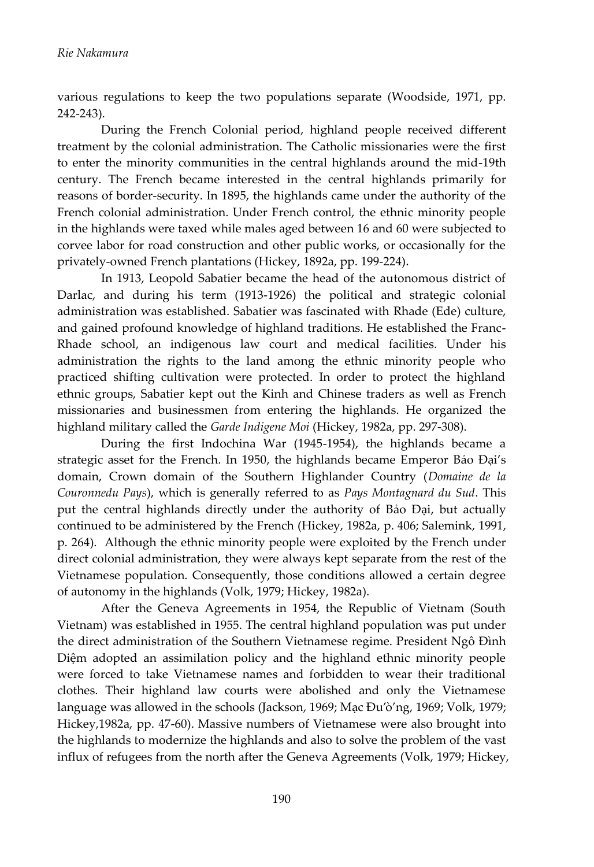various regulations to keep the two populations separate (Woodside, 1971, pp. 242-243).

During the French Colonial period, highland people received different treatment by the colonial administration. The Catholic missionaries were the first to enter the minority communities in the central highlands around the mid-19th century. The French became interested in the central highlands primarily for reasons of border-security. In 1895, the highlands came under the authority of the French colonial administration. Under French control, the ethnic minority people in the highlands were taxed while males aged between 16 and 60 were subjected to corvee labor for road construction and other public works, or occasionally for the privately-owned French plantations (Hickey, 1892a, pp. 199-224).

In 1913, Leopold Sabatier became the head of the autonomous district of Darlac, and during his term (1913-1926) the political and strategic colonial administration was established. Sabatier was fascinated with Rhade (Ede) culture, and gained profound knowledge of highland traditions. He established the Franc-Rhade school, an indigenous law court and medical facilities. Under his administration the rights to the land among the ethnic minority people who practiced shifting cultivation were protected. In order to protect the highland ethnic groups, Sabatier kept out the Kinh and Chinese traders as well as French missionaries and businessmen from entering the highlands. He organized the highland military called the *Garde Indigene Moi* (Hickey, 1982a, pp. 297-308).

During the first Indochina War (1945-1954), the highlands became a strategic asset for the French. In 1950, the highlands became Emperor domain, Crown domain of the Southern Highlander Country (*Domaine de la Couronnedu Pays*), which is generally referred to as *Pays Montagnard du Sud*. This put the central highlands directly under the authority of Bao Đại, but actually continued to be administered by the French (Hickey, 1982a, p. 406; Salemink, 1991, p. 264). Although the ethnic minority people were exploited by the French under direct colonial administration, they were always kept separate from the rest of the Vietnamese population. Consequently, those conditions allowed a certain degree of autonomy in the highlands (Volk, 1979; Hickey, 1982a).

After the Geneva Agreements in 1954, the Republic of Vietnam (South Vietnam) was established in 1955. The central highland population was put under the direct administration of the Southern Vietnamese regime. President Diệm adopted an assimilation policy and the highland ethnic minority people were forced to take Vietnamese names and forbidden to wear their traditional clothes. Their highland law courts were abolished and only the Vietnamese language was allowed in the schools (Jackson, 1969; Mac Đu'ò'ng, 1969; Volk, 1979; Hickey,1982a, pp. 47-60). Massive numbers of Vietnamese were also brought into the highlands to modernize the highlands and also to solve the problem of the vast influx of refugees from the north after the Geneva Agreements (Volk, 1979; Hickey,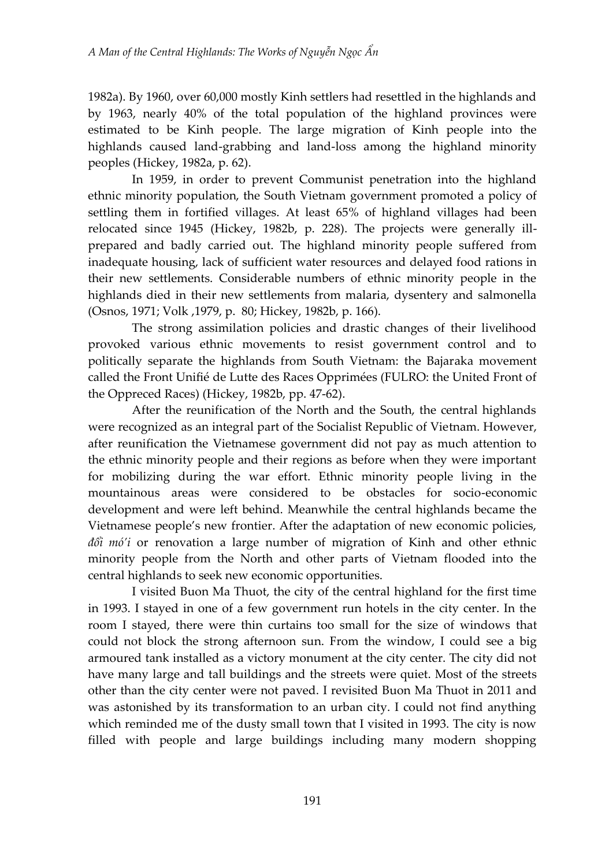1982a). By 1960, over 60,000 mostly Kinh settlers had resettled in the highlands and by 1963, nearly 40% of the total population of the highland provinces were estimated to be Kinh people. The large migration of Kinh people into the highlands caused land-grabbing and land-loss among the highland minority peoples (Hickey, 1982a, p. 62).

In 1959, in order to prevent Communist penetration into the highland ethnic minority population, the South Vietnam government promoted a policy of settling them in fortified villages. At least 65% of highland villages had been relocated since 1945 (Hickey, 1982b, p. 228). The projects were generally illprepared and badly carried out. The highland minority people suffered from inadequate housing, lack of sufficient water resources and delayed food rations in their new settlements. Considerable numbers of ethnic minority people in the highlands died in their new settlements from malaria, dysentery and salmonella (Osnos, 1971; Volk ,1979, p. 80; Hickey, 1982b, p. 166).

The strong assimilation policies and drastic changes of their livelihood provoked various ethnic movements to resist government control and to politically separate the highlands from South Vietnam: the Bajaraka movement called the Front Unifié de Lutte des Races Opprimées (FULRO: the United Front of the Oppreced Races) (Hickey, 1982b, pp. 47-62).

After the reunification of the North and the South, the central highlands were recognized as an integral part of the Socialist Republic of Vietnam. However, after reunification the Vietnamese government did not pay as much attention to the ethnic minority people and their regions as before when they were important for mobilizing during the war effort. Ethnic minority people living in the mountainous areas were considered to be obstacles for socio-economic development and were left behind. Meanwhile the central highlands became the Vietnamese people's new frontier. After the adaptation of new economic policies,  $d\hat{\sigma}$  *m* $\hat{\sigma}'$  or renovation a large number of migration of Kinh and other ethnic minority people from the North and other parts of Vietnam flooded into the central highlands to seek new economic opportunities.

I visited Buon Ma Thuot, the city of the central highland for the first time in 1993. I stayed in one of a few government run hotels in the city center. In the room I stayed, there were thin curtains too small for the size of windows that could not block the strong afternoon sun. From the window, I could see a big armoured tank installed as a victory monument at the city center. The city did not have many large and tall buildings and the streets were quiet. Most of the streets other than the city center were not paved. I revisited Buon Ma Thuot in 2011 and was astonished by its transformation to an urban city. I could not find anything which reminded me of the dusty small town that I visited in 1993. The city is now filled with people and large buildings including many modern shopping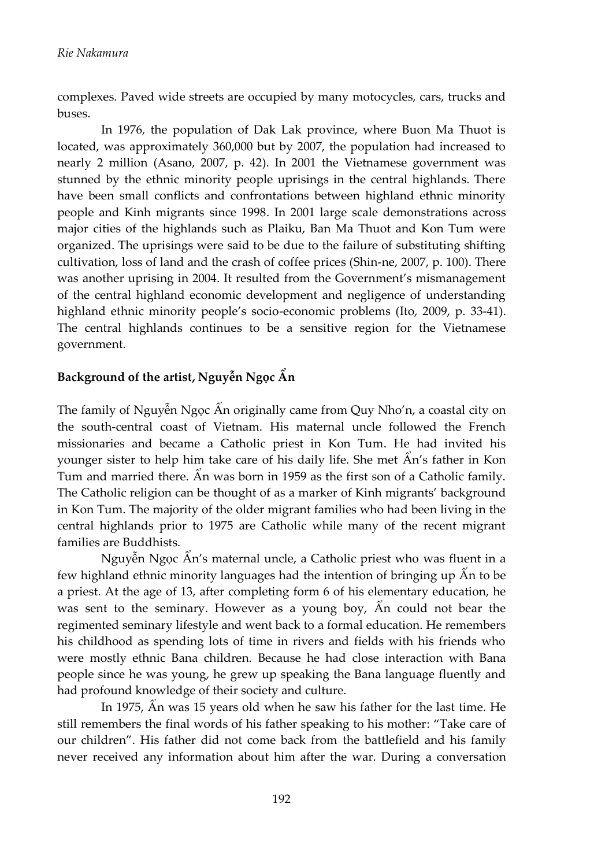complexes. Paved wide streets are occupied by many motocycles, cars, trucks and buses.

In 1976, the population of Dak Lak province, where Buon Ma Thuot is located, was approximately 360,000 but by 2007, the population had increased to nearly 2 million (Asano, 2007, p. 42). In 2001 the Vietnamese government was stunned by the ethnic minority people uprisings in the central highlands. There have been small conflicts and confrontations between highland ethnic minority people and Kinh migrants since 1998. In 2001 large scale demonstrations across major cities of the highlands such as Plaiku, Ban Ma Thuot and Kon Tum were organized. The uprisings were said to be due to the failure of substituting shifting cultivation, loss of land and the crash of coffee prices (Shin-ne, 2007, p. 100). There was another uprising in 2004. It resulted from the Government's mismanagement of the central highland economic development and negligence of understanding highland ethnic minority people's socio-economic problems (Ito, 2009, p. 33-41). The central highlands continues to be a sensitive region for the Vietnamese government.

# Background of the artist, Nguyễn Ngọc Ấn

The family of Nguyễn Ngọc Ẩn originally came from Quy Nho'n, a coastal city on the south-central coast of Vietnam. His maternal uncle followed the French missionaries and became a Catholic priest in Kon Tum. He had invited his younger sister to help him take care of his daily life. She met  $\hat{A}n$ 's father in Kon Tum and married there.  $\hat{A}$ n was born in 1959 as the first son of a Catholic family. The Catholic religion can be thought of as a marker of Kinh migrants' background in Kon Tum. The majority of the older migrant families who had been living in the central highlands prior to 1975 are Catholic while many of the recent migrant families are Buddhists.

Nguyễn Ngọc Ấn's maternal uncle, a Catholic priest who was fluent in a few highland ethnic minority languages had the intention of bringing up  $\hat{A}$ n to be a priest. At the age of 13, after completing form 6 of his elementary education, he was sent to the seminary. However as a young boy,  $\hat{A}$ n could not bear the regimented seminary lifestyle and went back to a formal education. He remembers his childhood as spending lots of time in rivers and fields with his friends who were mostly ethnic Bana children. Because he had close interaction with Bana people since he was young, he grew up speaking the Bana language fluently and had profound knowledge of their society and culture.

In 1975,  $\hat{A}$ n was 15 years old when he saw his father for the last time. He still remembers the final words of his father speaking to his mother: "Take care of our children". His father did not come back from the battlefield and his family never received any information about him after the war. During a conversation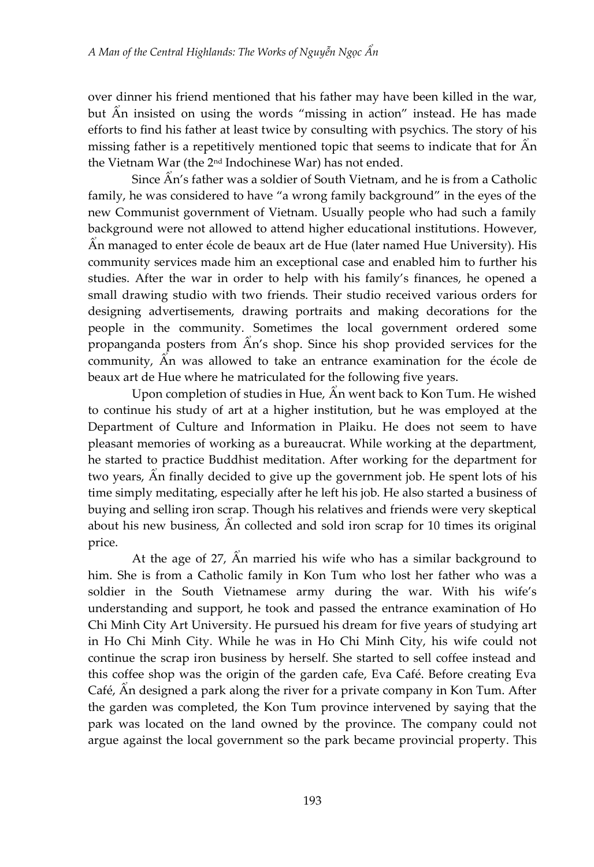over dinner his friend mentioned that his father may have been killed in the war, but An insisted on using the words "missing in action" instead. He has made efforts to find his father at least twice by consulting with psychics. The story of his missing father is a repetitively mentioned topic that seems to indicate that for  $\hat{A}n$ the Vietnam War (the 2nd Indochinese War) has not ended.

Since  $\hat{A}n$ 's father was a soldier of South Vietnam, and he is from a Catholic family, he was considered to have "a wrong family background" in the eyes of the new Communist government of Vietnam. Usually people who had such a family background were not allowed to attend higher educational institutions. However, An managed to enter école de beaux art de Hue (later named Hue University). His community services made him an exceptional case and enabled him to further his studies. After the war in order to help with his family's finances, he opened a small drawing studio with two friends. Their studio received various orders for designing advertisements, drawing portraits and making decorations for the people in the community. Sometimes the local government ordered some propanganda posters from  $\hat{A}n$ 's shop. Since his shop provided services for the community,  $\hat{A}$ n was allowed to take an entrance examination for the école de beaux art de Hue where he matriculated for the following five years.

Upon completion of studies in Hue, An went back to Kon Tum. He wished to continue his study of art at a higher institution, but he was employed at the Department of Culture and Information in Plaiku. He does not seem to have pleasant memories of working as a bureaucrat. While working at the department, he started to practice Buddhist meditation. After working for the department for two years,  $\hat{A}$ n finally decided to give up the government job. He spent lots of his time simply meditating, especially after he left his job. He also started a business of buying and selling iron scrap. Though his relatives and friends were very skeptical about his new business,  $\hat{A}$ n collected and sold iron scrap for 10 times its original price.

At the age of 27,  $\hat{A}$ n married his wife who has a similar background to him. She is from a Catholic family in Kon Tum who lost her father who was a soldier in the South Vietnamese army during the war. With his wife's understanding and support, he took and passed the entrance examination of Ho Chi Minh City Art University. He pursued his dream for five years of studying art in Ho Chi Minh City. While he was in Ho Chi Minh City, his wife could not continue the scrap iron business by herself. She started to sell coffee instead and this coffee shop was the origin of the garden cafe, Eva Café. Before creating Eva Café, An designed a park along the river for a private company in Kon Tum. After the garden was completed, the Kon Tum province intervened by saying that the park was located on the land owned by the province. The company could not argue against the local government so the park became provincial property. This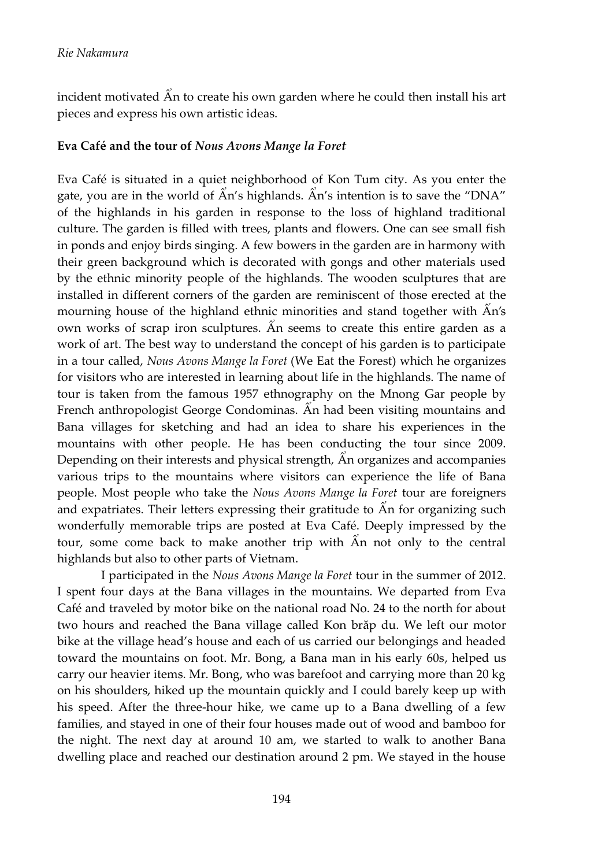incident motivated  $\hat{A}$ n to create his own garden where he could then install his art pieces and express his own artistic ideas.

#### **Eva Café and the tour of** *Nous Avons Mange la Foret*

Eva Café is situated in a quiet neighborhood of Kon Tum city. As you enter the gate, you are in the world of  $\widetilde{A}n$ 's highlands.  $\widetilde{A}n$ 's intention is to save the "DNA" of the highlands in his garden in response to the loss of highland traditional culture. The garden is filled with trees, plants and flowers. One can see small fish in ponds and enjoy birds singing. A few bowers in the garden are in harmony with their green background which is decorated with gongs and other materials used by the ethnic minority people of the highlands. The wooden sculptures that are installed in different corners of the garden are reminiscent of those erected at the mourning house of the highland ethnic minorities and stand together with  $\hat{A}n's$ own works of scrap iron sculptures. An seems to create this entire garden as a work of art. The best way to understand the concept of his garden is to participate in a tour called, *Nous Avons Mange la Foret* (We Eat the Forest) which he organizes for visitors who are interested in learning about life in the highlands. The name of tour is taken from the famous 1957 ethnography on the Mnong Gar people by French anthropologist George Condominas. An had been visiting mountains and Bana villages for sketching and had an idea to share his experiences in the mountains with other people. He has been conducting the tour since 2009. Depending on their interests and physical strength,  $\hat{A}$ n organizes and accompanies various trips to the mountains where visitors can experience the life of Bana people. Most people who take the *Nous Avons Mange la Foret* tour are foreigners and expatriates. Their letters expressing their gratitude to  $\hat{A}n$  for organizing such wonderfully memorable trips are posted at Eva Café. Deeply impressed by the tour, some come back to make another trip with  $\hat{A}$ n not only to the central highlands but also to other parts of Vietnam.

I participated in the *Nous Avons Mange la Foret* tour in the summer of 2012. I spent four days at the Bana villages in the mountains. We departed from Eva Café and traveled by motor bike on the national road No. 24 to the north for about two hours and reached the Bana village called Kon brăp du. We left our motor bike at the village head's house and each of us carried our belongings and headed toward the mountains on foot. Mr. Bong, a Bana man in his early 60s, helped us carry our heavier items. Mr. Bong, who was barefoot and carrying more than 20 kg on his shoulders, hiked up the mountain quickly and I could barely keep up with his speed. After the three-hour hike, we came up to a Bana dwelling of a few families, and stayed in one of their four houses made out of wood and bamboo for the night. The next day at around 10 am, we started to walk to another Bana dwelling place and reached our destination around 2 pm. We stayed in the house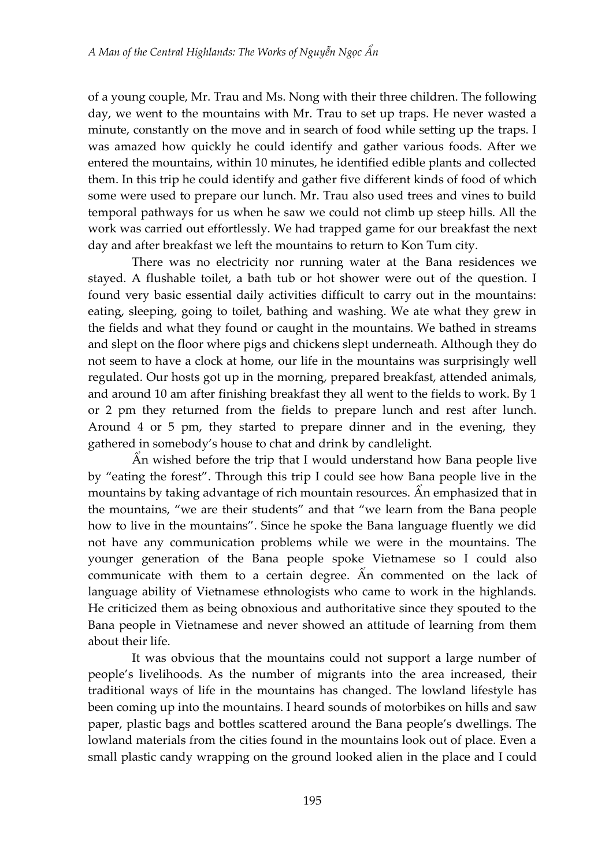of a young couple, Mr. Trau and Ms. Nong with their three children. The following day, we went to the mountains with Mr. Trau to set up traps. He never wasted a minute, constantly on the move and in search of food while setting up the traps. I was amazed how quickly he could identify and gather various foods. After we entered the mountains, within 10 minutes, he identified edible plants and collected them. In this trip he could identify and gather five different kinds of food of which some were used to prepare our lunch. Mr. Trau also used trees and vines to build temporal pathways for us when he saw we could not climb up steep hills. All the work was carried out effortlessly. We had trapped game for our breakfast the next day and after breakfast we left the mountains to return to Kon Tum city.

There was no electricity nor running water at the Bana residences we stayed. A flushable toilet, a bath tub or hot shower were out of the question. I found very basic essential daily activities difficult to carry out in the mountains: eating, sleeping, going to toilet, bathing and washing. We ate what they grew in the fields and what they found or caught in the mountains. We bathed in streams and slept on the floor where pigs and chickens slept underneath. Although they do not seem to have a clock at home, our life in the mountains was surprisingly well regulated. Our hosts got up in the morning, prepared breakfast, attended animals, and around 10 am after finishing breakfast they all went to the fields to work. By 1 or 2 pm they returned from the fields to prepare lunch and rest after lunch. Around 4 or 5 pm, they started to prepare dinner and in the evening, they gathered in somebody's house to chat and drink by candlelight.

 $\hat{A}$ n wished before the trip that I would understand how Bana people live by "eating the forest". Through this trip I could see how Bana people live in the mountains by taking advantage of rich mountain resources. An emphasized that in the mountains, "we are their students" and that "we learn from the Bana people how to live in the mountains". Since he spoke the Bana language fluently we did not have any communication problems while we were in the mountains. The younger generation of the Bana people spoke Vietnamese so I could also communicate with them to a certain degree. An commented on the lack of language ability of Vietnamese ethnologists who came to work in the highlands. He criticized them as being obnoxious and authoritative since they spouted to the Bana people in Vietnamese and never showed an attitude of learning from them about their life.

It was obvious that the mountains could not support a large number of people's livelihoods. As the number of migrants into the area increased, their traditional ways of life in the mountains has changed. The lowland lifestyle has been coming up into the mountains. I heard sounds of motorbikes on hills and saw paper, plastic bags and bottles scattered around the Bana people's dwellings. The lowland materials from the cities found in the mountains look out of place. Even a small plastic candy wrapping on the ground looked alien in the place and I could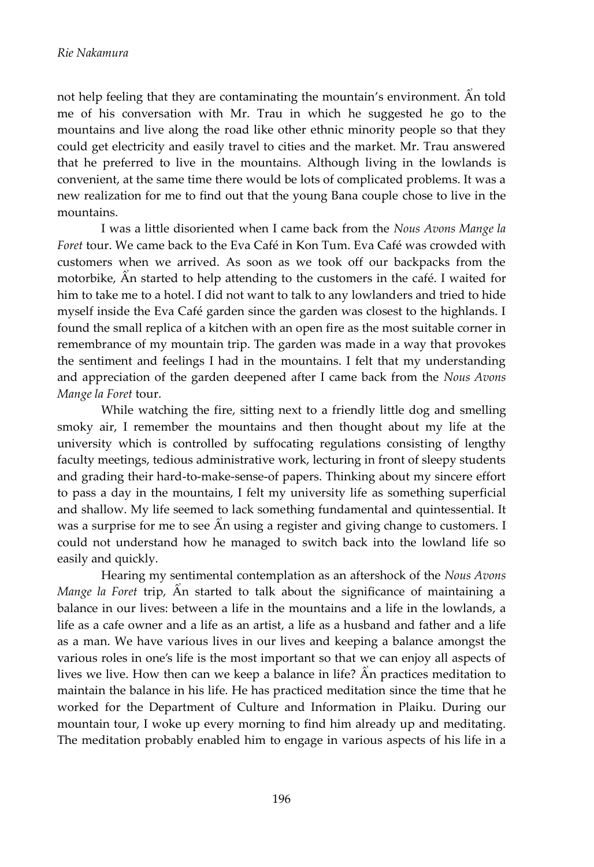not help feeling that they are contaminating the mountain's environment. An told me of his conversation with Mr. Trau in which he suggested he go to the mountains and live along the road like other ethnic minority people so that they could get electricity and easily travel to cities and the market. Mr. Trau answered that he preferred to live in the mountains. Although living in the lowlands is convenient, at the same time there would be lots of complicated problems. It was a new realization for me to find out that the young Bana couple chose to live in the mountains.

I was a little disoriented when I came back from the *Nous Avons Mange la Foret* tour. We came back to the Eva Café in Kon Tum. Eva Café was crowded with customers when we arrived. As soon as we took off our backpacks from the motorbike,  $\hat{A}$ n started to help attending to the customers in the café. I waited for him to take me to a hotel. I did not want to talk to any lowlanders and tried to hide myself inside the Eva Café garden since the garden was closest to the highlands. I found the small replica of a kitchen with an open fire as the most suitable corner in remembrance of my mountain trip. The garden was made in a way that provokes the sentiment and feelings I had in the mountains. I felt that my understanding and appreciation of the garden deepened after I came back from the *Nous Avons Mange la Foret* tour.

While watching the fire, sitting next to a friendly little dog and smelling smoky air, I remember the mountains and then thought about my life at the university which is controlled by suffocating regulations consisting of lengthy faculty meetings, tedious administrative work, lecturing in front of sleepy students and grading their hard-to-make-sense-of papers. Thinking about my sincere effort to pass a day in the mountains, I felt my university life as something superficial and shallow. My life seemed to lack something fundamental and quintessential. It was a surprise for me to see  $\hat{A}$ n using a register and giving change to customers. I could not understand how he managed to switch back into the lowland life so easily and quickly.

Hearing my sentimental contemplation as an aftershock of the *Nous Avons Mange la Foret* trip, An started to talk about the significance of maintaining a balance in our lives: between a life in the mountains and a life in the lowlands, a life as a cafe owner and a life as an artist, a life as a husband and father and a life as a man. We have various lives in our lives and keeping a balance amongst the various roles in one's life is the most important so that we can enjoy all aspects of lives we live. How then can we keep a balance in life?  $\hat{A}n$  practices meditation to maintain the balance in his life. He has practiced meditation since the time that he worked for the Department of Culture and Information in Plaiku. During our mountain tour, I woke up every morning to find him already up and meditating. The meditation probably enabled him to engage in various aspects of his life in a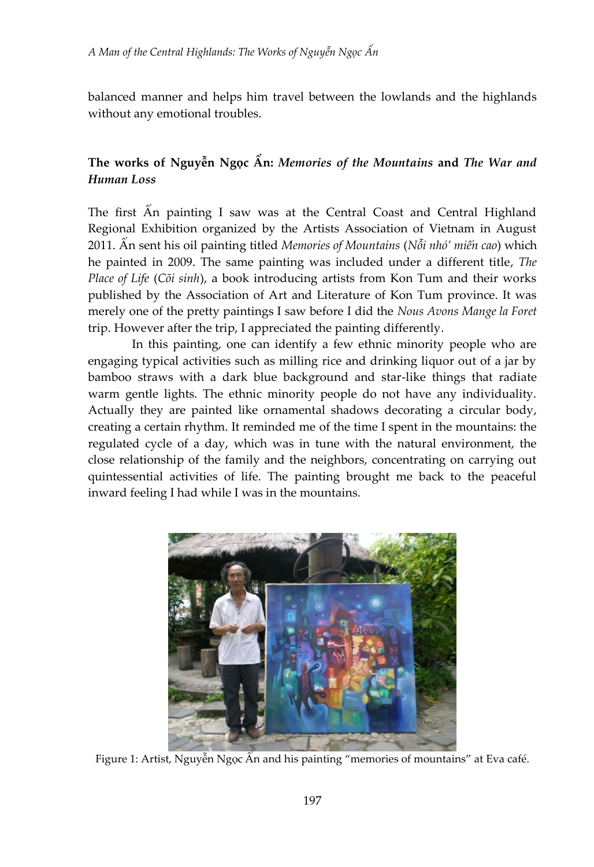balanced manner and helps him travel between the lowlands and the highlands without any emotional troubles.

# The works of Nguyễn Ngọc Ấn: *Memories of the Mountains* and *The War and Human Loss*

The first An painting I saw was at the Central Coast and Central Highland Regional Exhibition organized by the Artists Association of Vietnam in August 2011. An sent his oil painting titled *Memories of Mountains* (*Notienting the cao*) which he painted in 2009. The same painting was included under a different title, *The Place of Life* (*Cõi sinh*), a book introducing artists from Kon Tum and their works published by the Association of Art and Literature of Kon Tum province. It was merely one of the pretty paintings I saw before I did the *Nous Avons Mange la Foret* trip. However after the trip, I appreciated the painting differently.

In this painting, one can identify a few ethnic minority people who are engaging typical activities such as milling rice and drinking liquor out of a jar by bamboo straws with a dark blue background and star-like things that radiate warm gentle lights. The ethnic minority people do not have any individuality. Actually they are painted like ornamental shadows decorating a circular body, creating a certain rhythm. It reminded me of the time I spent in the mountains: the regulated cycle of a day, which was in tune with the natural environment, the close relationship of the family and the neighbors, concentrating on carrying out quintessential activities of life. The painting brought me back to the peaceful inward feeling I had while I was in the mountains.



Figure 1: Artist, Nguyễn Ngọc Ấn and his painting "memories of mountains" at Eva café.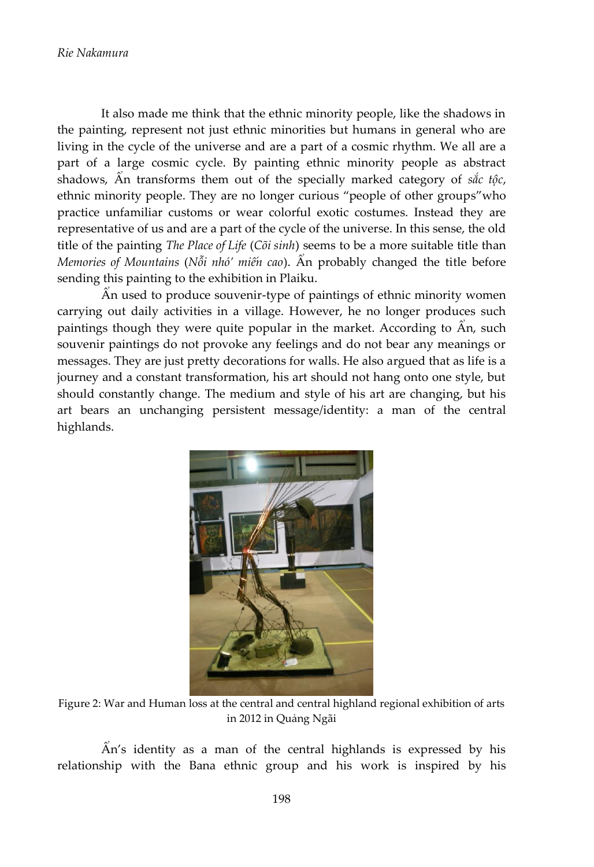It also made me think that the ethnic minority people, like the shadows in the painting, represent not just ethnic minorities but humans in general who are living in the cycle of the universe and are a part of a cosmic rhythm. We all are a part of a large cosmic cycle. By painting ethnic minority people as abstract shadows,  $\hat{A}$ n transforms them out of the specially marked category of  $\dot{\alpha}$ , *c*, ethnic minority people. They are no longer curious "people of other groups" who practice unfamiliar customs or wear colorful exotic costumes. Instead they are representative of us and are a part of the cycle of the universe. In this sense, the old title of the painting *The Place of Life* (*Cõi sinh*) seems to be a more suitable title than *Memories of Mountains (* $N\delta i$  *nhó' miến cao).* Ân probably changed the title before sending this painting to the exhibition in Plaiku.

An used to produce souvenir-type of paintings of ethnic minority women carrying out daily activities in a village. However, he no longer produces such paintings though they were quite popular in the market. According to  $\hat{A}$ n, such souvenir paintings do not provoke any feelings and do not bear any meanings or messages. They are just pretty decorations for walls. He also argued that as life is a journey and a constant transformation, his art should not hang onto one style, but should constantly change. The medium and style of his art are changing, but his art bears an unchanging persistent message/identity: a man of the central highlands.



Figure 2: War and Human loss at the central and central highland regional exhibition of arts in 2012 in Quảng Ngãi

 $\hat{A}n$ 's identity as a man of the central highlands is expressed by his relationship with the Bana ethnic group and his work is inspired by his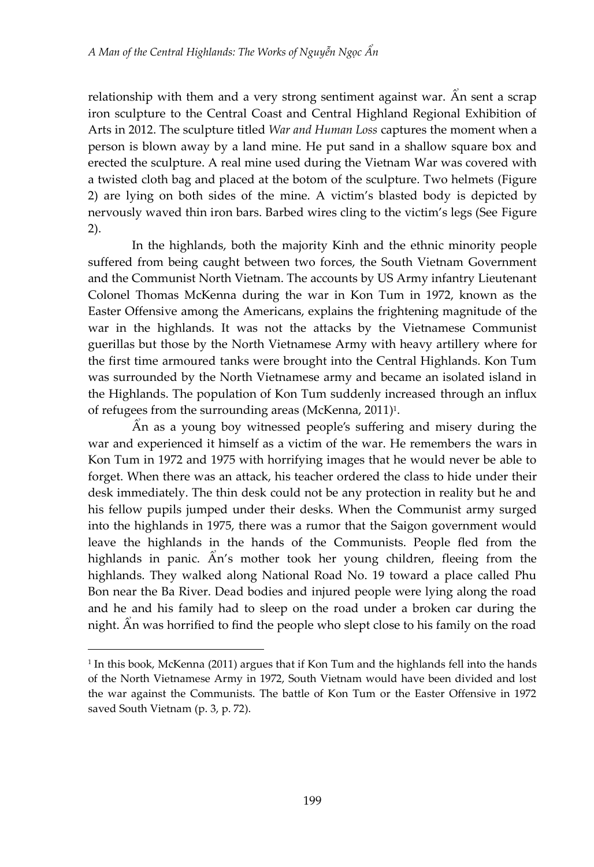relationship with them and a very strong sentiment against war. An sent a scrap iron sculpture to the Central Coast and Central Highland Regional Exhibition of Arts in 2012. The sculpture titled *War and Human Loss* captures the moment when a person is blown away by a land mine. He put sand in a shallow square box and erected the sculpture. A real mine used during the Vietnam War was covered with a twisted cloth bag and placed at the botom of the sculpture. Two helmets (Figure 2) are lying on both sides of the mine. A victim's blasted body is depicted by nervously waved thin iron bars. Barbed wires cling to the victim's legs (See Figure 2).

In the highlands, both the majority Kinh and the ethnic minority people suffered from being caught between two forces, the South Vietnam Government and the Communist North Vietnam. The accounts by US Army infantry Lieutenant Colonel Thomas McKenna during the war in Kon Tum in 1972, known as the Easter Offensive among the Americans, explains the frightening magnitude of the war in the highlands. It was not the attacks by the Vietnamese Communist guerillas but those by the North Vietnamese Army with heavy artillery where for the first time armoured tanks were brought into the Central Highlands. Kon Tum was surrounded by the North Vietnamese army and became an isolated island in the Highlands. The population of Kon Tum suddenly increased through an influx of refugees from the surrounding areas (McKenna, 2011)<sup>1</sup>.

 $\hat{A}$ n as a young boy witnessed people's suffering and misery during the war and experienced it himself as a victim of the war. He remembers the wars in Kon Tum in 1972 and 1975 with horrifying images that he would never be able to forget. When there was an attack, his teacher ordered the class to hide under their desk immediately. The thin desk could not be any protection in reality but he and his fellow pupils jumped under their desks. When the Communist army surged into the highlands in 1975, there was a rumor that the Saigon government would leave the highlands in the hands of the Communists. People fled from the highlands in panic. An's mother took her young children, fleeing from the highlands. They walked along National Road No. 19 toward a place called Phu Bon near the Ba River. Dead bodies and injured people were lying along the road and he and his family had to sleep on the road under a broken car during the night. An was horrified to find the people who slept close to his family on the road

 $\overline{a}$ 

<sup>1</sup> In this book, McKenna (2011) argues that if Kon Tum and the highlands fell into the hands of the North Vietnamese Army in 1972, South Vietnam would have been divided and lost the war against the Communists. The battle of Kon Tum or the Easter Offensive in 1972 saved South Vietnam (p. 3, p. 72).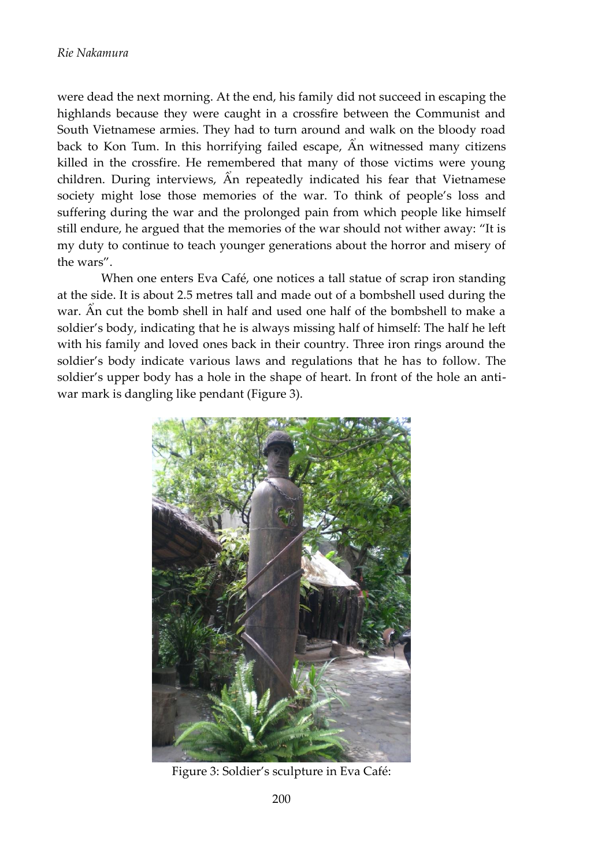were dead the next morning. At the end, his family did not succeed in escaping highlands because they were caught in a crossfire between the Communist and South Vietnamese armies. They had to turn around and walk on the bloody road back to Kon Tum. In this horrifying failed escape, An witnessed many citizens killed in the crossfire. He remembered that many of those victims were young children. During interviews,  $\hat{A}$ n repeatedly indicated his fear that Vietnamese society might lose those memories of the war. To think of people's loss and suffering during the war and the prolonged pain from which people like himself still endure, he argued that the memories of the war should not wither away: "It is my duty to continue to teach younger generations about the horror and misery of the wars".

When one enters Eva Café, one notices a tall statue of scrap iron standing at the side. It is about 2.5 metres tall and made out of a bombshell used during the war. An cut the bomb shell in half and used one half of the bombshell to make a soldier's body, indicating that he is always missing half of himself: The half he left with his family and loved ones back in their country. Three iron rings around the soldier's body indicate various laws and regulations that he has to follow. The soldier's upper body has a hole in the shape of heart. In front of the hole an antiwar mark is dangling like pendant (Figure 3).



Figure 3: Soldier's sculpture in Eva Café: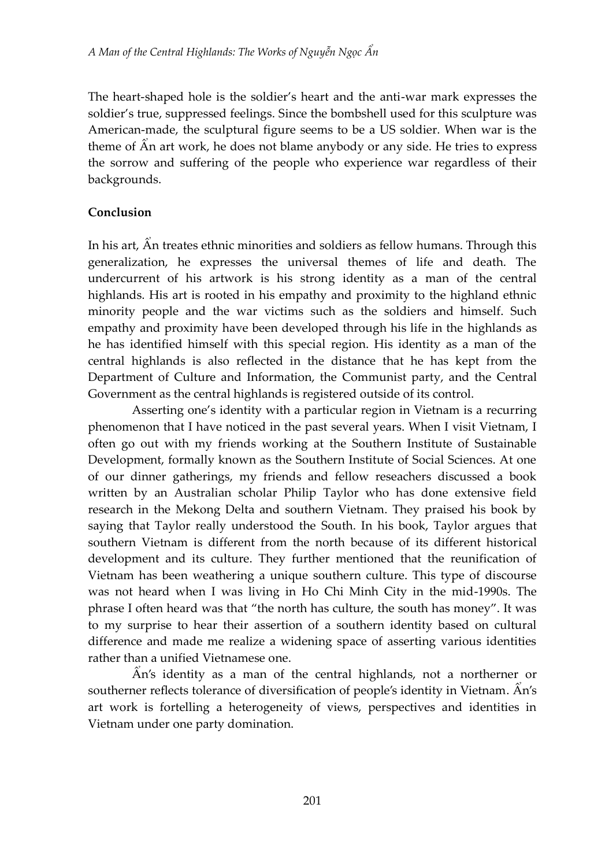The heart-shaped hole is the soldier's heart and the anti-war mark expresses the soldier's true, suppressed feelings. Since the bombshell used for this sculpture was American-made, the sculptural figure seems to be a US soldier. When war is the theme of  $\hat{A}n$  art work, he does not blame anybody or any side. He tries to express the sorrow and suffering of the people who experience war regardless of their backgrounds.

### **Conclusion**

In his art, An treates ethnic minorities and soldiers as fellow humans. Through this generalization, he expresses the universal themes of life and death. The undercurrent of his artwork is his strong identity as a man of the central highlands. His art is rooted in his empathy and proximity to the highland ethnic minority people and the war victims such as the soldiers and himself. Such empathy and proximity have been developed through his life in the highlands as he has identified himself with this special region. His identity as a man of the central highlands is also reflected in the distance that he has kept from the Department of Culture and Information, the Communist party, and the Central Government as the central highlands is registered outside of its control.

Asserting one's identity with a particular region in Vietnam is a recurring phenomenon that I have noticed in the past several years. When I visit Vietnam, I often go out with my friends working at the Southern Institute of Sustainable Development, formally known as the Southern Institute of Social Sciences. At one of our dinner gatherings, my friends and fellow reseachers discussed a book written by an Australian scholar Philip Taylor who has done extensive field research in the Mekong Delta and southern Vietnam. They praised his book by saying that Taylor really understood the South. In his book, Taylor argues that southern Vietnam is different from the north because of its different historical development and its culture. They further mentioned that the reunification of Vietnam has been weathering a unique southern culture. This type of discourse was not heard when I was living in Ho Chi Minh City in the mid-1990s. The phrase I often heard was that "the north has culture, the south has money". It was to my surprise to hear their assertion of a southern identity based on cultural difference and made me realize a widening space of asserting various identities rather than a unified Vietnamese one.

 $\hat{A}$ n's identity as a man of the central highlands, not a northerner or southerner reflects tolerance of diversification of people's identity in Vietnam. An's art work is fortelling a heterogeneity of views, perspectives and identities in Vietnam under one party domination.